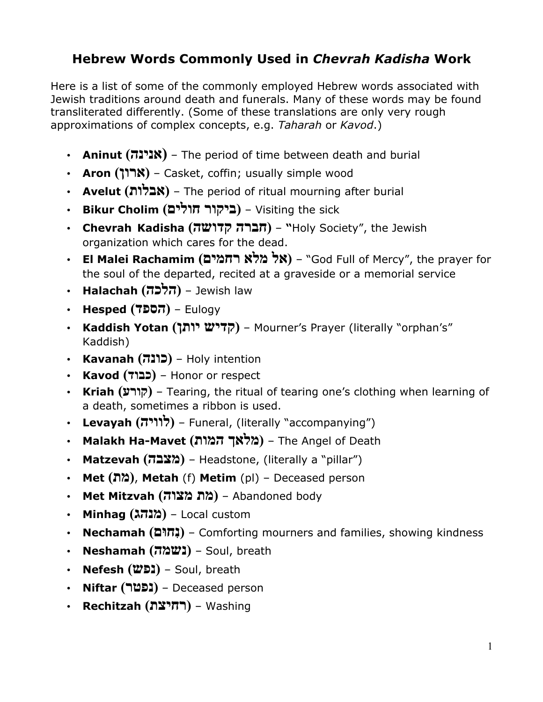## **Hebrew Words Commonly Used in** *Chevrah Kadisha* **Work**

Here is a list of some of the commonly employed Hebrew words associated with Jewish traditions around death and funerals. Many of these words may be found transliterated differently. (Some of these translations are only very rough approximations of complex concepts, e.g. *Taharah* or *Kavod*.)

- **Aninut ( הנינא (** The period of time between death and burial
- **Aron ( ןור א (**Casket, coffin; usually simple wood
- **Avelut ( תולבא (** The period of ritual mourning after burial
- **Bikur Cholim ( רוקיב םילוח (** Visiting the sick
- **Chevrah Kadisha ( הרבח השודק" (** Holy Society", the Jewish organization which cares for the dead.
- **El Malei Rachamim ( לא אלמ םימחר**" **(** God Full of Mercy", the prayer for the soul of the departed, recited at a graveside or a memorial service
- **Halachah ( הכלה (** Jewish law
- **Hesped ( דפסה (** Eulogy
- **Kaddish Yotan ( שידק ןתוי (** Mourner's Prayer (literally "orphan's" Kaddish)
- **Kavanah ( הנוכ (** Holy intention
- **Kavod ( דובכ (** Honor or respect
- **Kriah ( ערוק (** Tearing, the ritual of tearing one's clothing when learning of a death, sometimes a ribbon is used.
- **Levayah ( היוול (** Funeral, (literally "accompanying")
- **Malakh Ha-Mavet ( ךאלמ תומה (** The Angel of Death
- **Matzevah ( הבצמ (** Headstone, (literally a "pillar")
- **Met ( תמ(** , **Metah** (f) **Metim** (pl) Deceased person
- **Met Mitzvah ( הוצמ תמ (** Abandoned body
- **Minhag ( גהנמ (** Local custom
- **Nechamah ( נִםוּח (** Comforting mourners and families, showing kindness
- **Neshamah ( המשנ (** Soul, breath
- **Nefesh ( שפנ (** Soul, breath
- **Niftar ( רטפנ** – **(** Deceased person
- **Rechitzah ( תציחר (** Washing